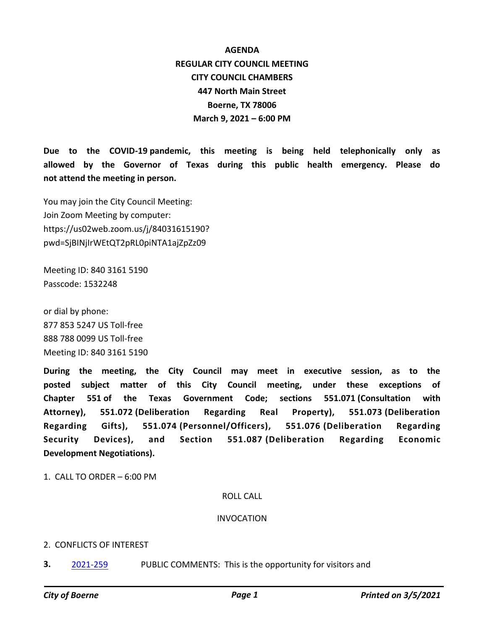**AGENDA REGULAR CITY COUNCIL MEETING CITY COUNCIL CHAMBERS 447 North Main Street Boerne, TX 78006 March 9, 2021 – 6:00 PM**

**Due to the COVID-19 pandemic, this meeting is being held telephonically only as allowed by the Governor of Texas during this public health emergency. Please do not attend the meeting in person.**

You may join the City Council Meeting: Join Zoom Meeting by computer: https://us02web.zoom.us/j/84031615190? pwd=SjBINjIrWEtQT2pRL0piNTA1ajZpZz09

Meeting ID: 840 3161 5190 Passcode: 1532248

or dial by phone: 877 853 5247 US Toll-free 888 788 0099 US Toll-free Meeting ID: 840 3161 5190

**During the meeting, the City Council may meet in executive session, as to the posted subject matter of this City Council meeting, under these exceptions of Chapter 551 of the Texas Government Code; sections 551.071 (Consultation with Attorney), 551.072 (Deliberation Regarding Real Property), 551.073 (Deliberation Regarding Gifts), 551.074 (Personnel/Officers), 551.076 (Deliberation Regarding Security Devices), and Section 551.087 (Deliberation Regarding Economic Development Negotiations).**

1. CALL TO ORDER – 6:00 PM

### ROLL CALL

#### INVOCATION

#### 2. CONFLICTS OF INTEREST

**3.** [2021-259](http://boerne.legistar.com/gateway.aspx?m=l&id=/matter.aspx?key=5815) PUBLIC COMMENTS: This is the opportunity for visitors and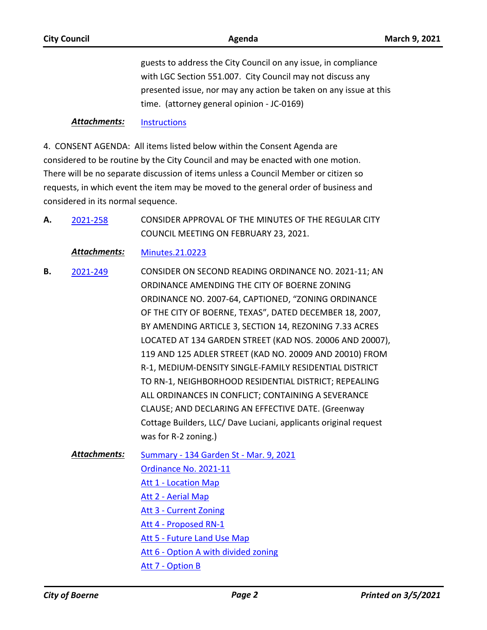### *Attachments:* [Instructions](http://boerne.legistar.com/gateway.aspx?M=F&ID=0cbc8722-4fc9-4fbe-839e-85625916b4f1.pdf)

4. CONSENT AGENDA: All items listed below within the Consent Agenda are considered to be routine by the City Council and may be enacted with one motion. There will be no separate discussion of items unless a Council Member or citizen so requests, in which event the item may be moved to the general order of business and considered in its normal sequence.

CONSIDER APPROVAL OF THE MINUTES OF THE REGULAR CITY COUNCIL MEETING ON FEBRUARY 23, 2021. **A.** [2021-258](http://boerne.legistar.com/gateway.aspx?m=l&id=/matter.aspx?key=5814)

*Attachments:* [Minutes.21.0223](http://boerne.legistar.com/gateway.aspx?M=F&ID=5aa0dbaf-443f-4515-8177-e87385bf6d0d.pdf)

- CONSIDER ON SECOND READING ORDINANCE NO. 2021-11; AN ORDINANCE AMENDING THE CITY OF BOERNE ZONING ORDINANCE NO. 2007-64, CAPTIONED, "ZONING ORDINANCE OF THE CITY OF BOERNE, TEXAS", DATED DECEMBER 18, 2007, BY AMENDING ARTICLE 3, SECTION 14, REZONING 7.33 ACRES LOCATED AT 134 GARDEN STREET (KAD NOS. 20006 AND 20007), 119 AND 125 ADLER STREET (KAD NO. 20009 AND 20010) FROM R-1, MEDIUM-DENSITY SINGLE-FAMILY RESIDENTIAL DISTRICT TO RN-1, NEIGHBORHOOD RESIDENTIAL DISTRICT; REPEALING ALL ORDINANCES IN CONFLICT; CONTAINING A SEVERANCE CLAUSE; AND DECLARING AN EFFECTIVE DATE. (Greenway Cottage Builders, LLC/ Dave Luciani, applicants original request was for R-2 zoning.) **B.** [2021-249](http://boerne.legistar.com/gateway.aspx?m=l&id=/matter.aspx?key=5805)
	- [Summary 134 Garden St Mar. 9, 2021](http://boerne.legistar.com/gateway.aspx?M=F&ID=c5bed7f2-92b9-4331-b692-b65c62f432a6.doc) [Ordinance No. 2021-11](http://boerne.legistar.com/gateway.aspx?M=F&ID=59185d01-4e0a-4ab3-97b7-85ea07e3d938.docx) [Att 1 - Location Map](http://boerne.legistar.com/gateway.aspx?M=F&ID=832108da-d7b3-4714-bc84-63ae3cc3c356.pdf) [Att 2 - Aerial Map](http://boerne.legistar.com/gateway.aspx?M=F&ID=eb0f84fe-86fb-400f-b8a6-048e219bc0d5.pdf) [Att 3 - Current Zoning](http://boerne.legistar.com/gateway.aspx?M=F&ID=8e2ae946-b1ad-474a-887a-6effc8d4b1eb.pdf) [Att 4 - Proposed RN-1](http://boerne.legistar.com/gateway.aspx?M=F&ID=08b4bfe1-b2c9-49ba-8530-4d522a3ab17a.pdf) [Att 5 - Future Land Use Map](http://boerne.legistar.com/gateway.aspx?M=F&ID=e60df3c0-bd1d-473b-9371-3a3446626271.pdf) [Att 6 - Option A with divided zoning](http://boerne.legistar.com/gateway.aspx?M=F&ID=6e8ed4af-1126-4755-b461-5e07b6e32d9e.pdf) [Att 7 - Option B](http://boerne.legistar.com/gateway.aspx?M=F&ID=1315d081-60d0-4f77-a26c-6acb3d1c4e0f.pdf) *Attachments:*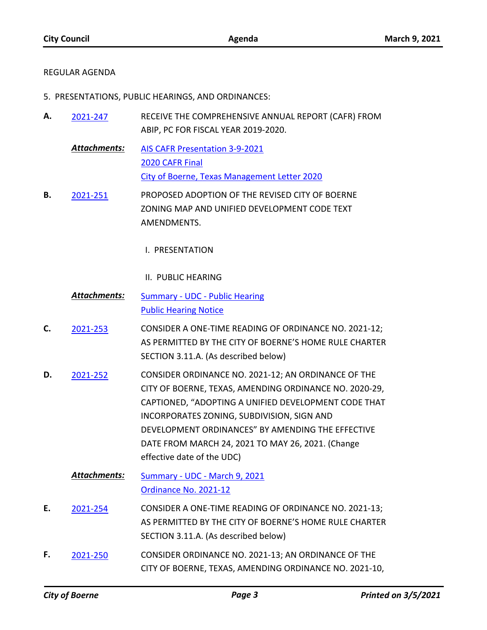## REGULAR AGENDA

- 5. PRESENTATIONS, PUBLIC HEARINGS, AND ORDINANCES:
- RECEIVE THE COMPREHENSIVE ANNUAL REPORT (CAFR) FROM ABIP, PC FOR FISCAL YEAR 2019-2020. **A.** [2021-247](http://boerne.legistar.com/gateway.aspx?m=l&id=/matter.aspx?key=5803)
	- [AIS CAFR Presentation 3-9-2021](http://boerne.legistar.com/gateway.aspx?M=F&ID=b096fb66-dba5-410d-9185-e900c4ebd5ab.docx) [2020 CAFR Final](http://boerne.legistar.com/gateway.aspx?M=F&ID=51986833-ef1e-4e50-a50d-52769e81a391.pdf) [City of Boerne, Texas Management Letter 2020](http://boerne.legistar.com/gateway.aspx?M=F&ID=e586f064-a456-4d62-b708-e57c9bc9a489.pdf) *Attachments:*
- PROPOSED ADOPTION OF THE REVISED CITY OF BOERNE ZONING MAP AND UNIFIED DEVELOPMENT CODE TEXT AMENDMENTS. **B.** [2021-251](http://boerne.legistar.com/gateway.aspx?m=l&id=/matter.aspx?key=5807)
	- I. PRESENTATION
	- II. PUBLIC HEARING
	- [Summary UDC Public Hearing](http://boerne.legistar.com/gateway.aspx?M=F&ID=7ffc2d19-0bc7-4780-9b78-7e70a1b7d288.doc) [Public Hearing Notice](http://boerne.legistar.com/gateway.aspx?M=F&ID=8d216068-3d39-4882-96c2-a8ca4465c3ce.pdf) *Attachments:*
- CONSIDER A ONE-TIME READING OF ORDINANCE NO. 2021-12; AS PERMITTED BY THE CITY OF BOERNE'S HOME RULE CHARTER SECTION 3.11.A. (As described below) **C.** [2021-253](http://boerne.legistar.com/gateway.aspx?m=l&id=/matter.aspx?key=5809)
- CONSIDER ORDINANCE NO. 2021-12; AN ORDINANCE OF THE CITY OF BOERNE, TEXAS, AMENDING ORDINANCE NO. 2020-29, CAPTIONED, "ADOPTING A UNIFIED DEVELOPMENT CODE THAT INCORPORATES ZONING, SUBDIVISION, SIGN AND DEVELOPMENT ORDINANCES" BY AMENDING THE EFFECTIVE DATE FROM MARCH 24, 2021 TO MAY 26, 2021. (Change effective date of the UDC) **D.** [2021-252](http://boerne.legistar.com/gateway.aspx?m=l&id=/matter.aspx?key=5808)
	- [Summary UDC March 9, 2021](http://boerne.legistar.com/gateway.aspx?M=F&ID=17d705d7-4461-4888-ad78-684b667f0217.doc) [Ordinance No. 2021-12](http://boerne.legistar.com/gateway.aspx?M=F&ID=f0a21c1e-236d-4132-83bb-afefeeb8bfb5.docx) *Attachments:*
- CONSIDER A ONE-TIME READING OF ORDINANCE NO. 2021-13; AS PERMITTED BY THE CITY OF BOERNE'S HOME RULE CHARTER SECTION 3.11.A. (As described below) **E.** [2021-254](http://boerne.legistar.com/gateway.aspx?m=l&id=/matter.aspx?key=5810)
- CONSIDER ORDINANCE NO. 2021-13; AN ORDINANCE OF THE CITY OF BOERNE, TEXAS, AMENDING ORDINANCE NO. 2021-10, **F.** [2021-250](http://boerne.legistar.com/gateway.aspx?m=l&id=/matter.aspx?key=5806)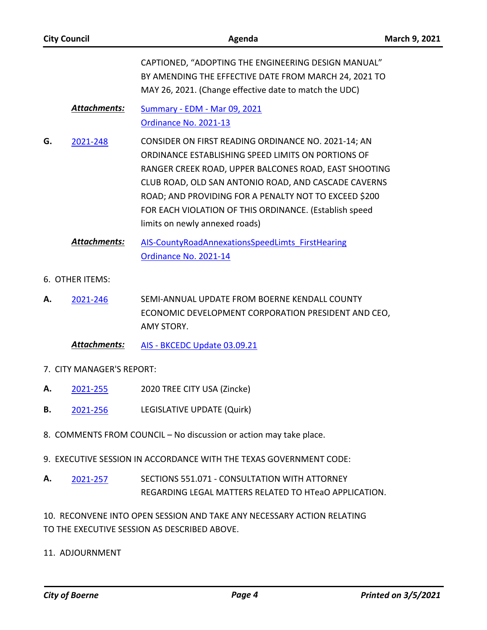| <b>City Council</b>       |                     | Agenda                                                                                                                                                                                                                                                                                                                                                                          | March 9, 2021 |
|---------------------------|---------------------|---------------------------------------------------------------------------------------------------------------------------------------------------------------------------------------------------------------------------------------------------------------------------------------------------------------------------------------------------------------------------------|---------------|
|                           |                     | CAPTIONED, "ADOPTING THE ENGINEERING DESIGN MANUAL"<br>BY AMENDING THE EFFECTIVE DATE FROM MARCH 24, 2021 TO<br>MAY 26, 2021. (Change effective date to match the UDC)                                                                                                                                                                                                          |               |
|                           | Attachments:        | <b>Summary - EDM - Mar 09, 2021</b><br>Ordinance No. 2021-13                                                                                                                                                                                                                                                                                                                    |               |
| G.                        | 2021-248            | CONSIDER ON FIRST READING ORDINANCE NO. 2021-14; AN<br>ORDINANCE ESTABLISHING SPEED LIMITS ON PORTIONS OF<br>RANGER CREEK ROAD, UPPER BALCONES ROAD, EAST SHOOTING<br>CLUB ROAD, OLD SAN ANTONIO ROAD, AND CASCADE CAVERNS<br>ROAD; AND PROVIDING FOR A PENALTY NOT TO EXCEED \$200<br>FOR EACH VIOLATION OF THIS ORDINANCE. (Establish speed<br>limits on newly annexed roads) |               |
|                           | <b>Attachments:</b> | AIS-CountyRoadAnnexationsSpeedLimts FirstHearing<br>Ordinance No. 2021-14                                                                                                                                                                                                                                                                                                       |               |
| 6. OTHER ITEMS:           |                     |                                                                                                                                                                                                                                                                                                                                                                                 |               |
| А.                        | 2021-246            | SEMI-ANNUAL UPDATE FROM BOERNE KENDALL COUNTY<br>ECONOMIC DEVELOPMENT CORPORATION PRESIDENT AND CEO,<br>AMY STORY.                                                                                                                                                                                                                                                              |               |
|                           | <b>Attachments:</b> | AIS - BKCEDC Update 03.09.21                                                                                                                                                                                                                                                                                                                                                    |               |
| 7. CITY MANAGER'S REPORT: |                     |                                                                                                                                                                                                                                                                                                                                                                                 |               |
| А.                        | 2021-255            | 2020 TREE CITY USA (Zincke)                                                                                                                                                                                                                                                                                                                                                     |               |
| В.                        | 2021-256            | LEGISLATIVE UPDATE (Quirk)                                                                                                                                                                                                                                                                                                                                                      |               |

- 8. COMMENTS FROM COUNCIL No discussion or action may take place.
- 9. EXECUTIVE SESSION IN ACCORDANCE WITH THE TEXAS GOVERNMENT CODE:
- SECTIONS 551.071 CONSULTATION WITH ATTORNEY REGARDING LEGAL MATTERS RELATED TO HTeaO APPLICATION. **A.** [2021-257](http://boerne.legistar.com/gateway.aspx?m=l&id=/matter.aspx?key=5813)

10. RECONVENE INTO OPEN SESSION AND TAKE ANY NECESSARY ACTION RELATING TO THE EXECUTIVE SESSION AS DESCRIBED ABOVE.

11. ADJOURNMENT